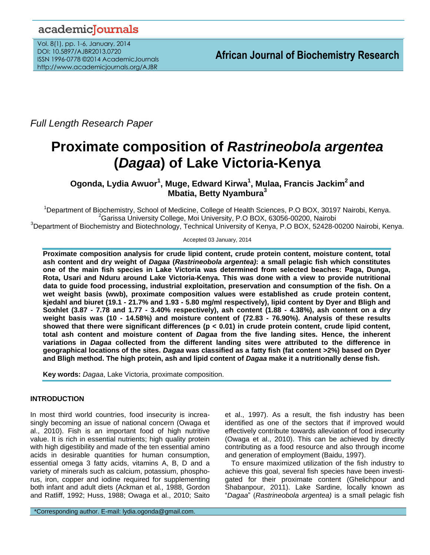# academicJournals

Vol. 8(1), pp. 1-6, January, 2014 DOI: 10.5897/AJBR2013.0720 ISSN 1996-0778 ©2014 AcademicJournals http://www.academicjournals.org/AJBR

*Full Length Research Paper*

# **Proximate composition of** *Rastrineobola argentea* **(***Dagaa***) of Lake Victoria-Kenya**

**Ogonda, Lydia Awuor<sup>1</sup> , Muge, Edward Kirwa<sup>1</sup> , Mulaa, Francis Jackim<sup>2</sup> and Mbatia, Betty Nyambura<sup>3</sup>**

<sup>1</sup>Department of Biochemistry, School of Medicine, College of Health Sciences, P.O BOX, 30197 Nairobi, Kenya. <sup>2</sup>Garissa University College, Moi University, P.O BOX, 63056-00200, Nairobi <sup>3</sup>Department of Biochemistry and Biotechnology, Technical University of Kenya, P.O BOX, 52428-00200 Nairobi, Kenya.

Accepted 03 January, 2014

**Proximate composition analysis for crude lipid content, crude protein content, moisture content, total ash content and dry weight of** *Dagaa* **(***Rastrineobola argentea)***: a small pelagic fish which constitutes one of the main fish species in Lake Victoria was determined from selected beaches: Paga, Dunga, Rota, Usari and Nduru around Lake Victoria-Kenya. This was done with a view to provide nutritional data to guide food processing, industrial exploitation, preservation and consumption of the fish. On a wet weight basis (wwb), proximate composition values were established as crude protein content, kjedahl and biuret (19.1 - 21.7% and 1.93 - 5.80 mg/ml respectively), lipid content by Dyer and Bligh and Soxhlet (3.87 - 7.78 and 1.77 - 3.40% respectively), ash content (1.88 - 4.38%), ash content on a dry weight basis was (10 - 14.58%) and moisture content of (72.83 - 76.90%). Analysis of these results showed that there were significant differences (p < 0.01) in crude protein content, crude lipid content, total ash content and moisture content of** *Dagaa* **from the five landing sites. Hence, the inherent variations in** *Dagaa* **collected from the different landing sites were attributed to the difference in geographical locations of the sites.** *Dagaa* **was classified as a fatty fish (fat content >2%) based on Dyer and Bligh method. The high protein, ash and lipid content of** *Dagaa* **make it a nutritionally dense fish.** 

**Key words:** *Dagaa*, Lake Victoria, proximate composition.

# **INTRODUCTION**

In most third world countries, food insecurity is increasingly becoming an issue of national concern (Owaga et al., 2010). Fish is an important food of high nutritive value. It is rich in essential nutrients; high quality protein with high digestibility and made of the ten essential amino acids in desirable quantities for human consumption, essential omega 3 fatty acids, vitamins A, B, D and a variety of minerals such as calcium, potassium, phosphorus, iron, copper and iodine required for supplementing both infant and adult diets (Ackman et al*.,* 1988, Gordon and Ratliff, 1992; Huss, 1988; Owaga et al., 2010; Saito

\*Corresponding author. E-mail: lydia.ogonda@gmail.com.

et al., 1997). As a result, the fish industry has been identified as one of the sectors that if improved would effectively contribute towards alleviation of food insecurity (Owaga et al., 2010). This can be achieved by directly contributing as a food resource and also through income and generation of employment (Baidu, 1997).

To ensure maximized utilization of the fish industry to achieve this goal, several fish species have been investigated for their proximate content (Ghelichpour and Shabanpour, 2011). Lake Sardine, locally known as "*Dagaa*" (*Rastrineobola argentea)* is a small pelagic fish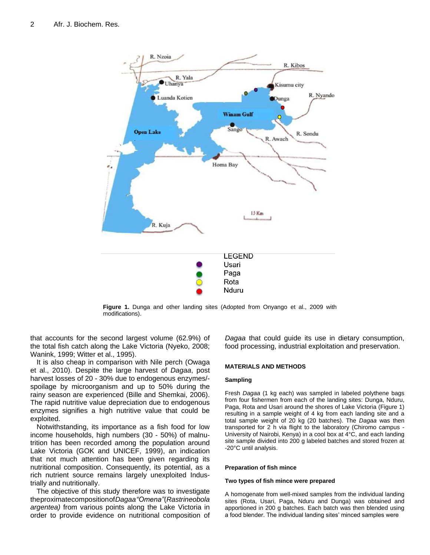

**Figure 1.** Dunga and other landing sites (Adopted from Onyango et al., 2009 with modifications).

that accounts for the second largest volume (62.9%) of the total fish catch along the Lake Victoria (Nyeko, 2008; Wanink, 1999; Witter et al., 1995).

It is also cheap in comparison with Nile perch (Owaga et al., 2010). Despite the large harvest of *Dagaa*, post harvest losses of 20 - 30% due to endogenous enzymes/ spoilage by microorganism and up to 50% during the rainy season are experienced (Bille and Shemkai, 2006). The rapid nutritive value depreciation due to endogenous enzymes signifies a high nutritive value that could be exploited.

Notwithstanding, its importance as a fish food for low income households, high numbers (30 - 50%) of malnutrition has been recorded among the population around Lake Victoria (GOK and UNICEF, 1999), an indication that not much attention has been given regarding its nutritional composition. Consequently, its potential, as a rich nutrient source remains largely unexploited Industrially and nutritionally.

The objective of this study therefore was to investigate theproximatecompositionof*Dagaa"Omena"*(*Rastrineobola argentea)* from various points along the Lake Victoria in order to provide evidence on nutritional composition of *Dagaa* that could guide its use in dietary consumption, food processing, industrial exploitation and preservation.

#### **MATERIALS AND METHODS**

#### **Sampling**

Fresh *Dagaa* (1 kg each) was sampled in labeled polythene bags from four fishermen from each of the landing sites: Dunga, Nduru, Paga, Rota and Usari around the shores of Lake Victoria (Figure 1) resulting in a sample weight of 4 kg from each landing site and a total sample weight of 20 kg (20 batches). The *Dagaa* was then transported for 2 h via flight to the laboratory (Chiromo campus - University of Nairobi, Kenya) in a cool box at 4°C, and each landing site sample divided into 200 g labeled batches and stored frozen at -20°C until analysis.

#### **Preparation of fish mince**

#### **Two types of fish mince were prepared**

A homogenate from well-mixed samples from the individual landing sites (Rota, Usari, Paga, Nduru and Dunga) was obtained and apportioned in 200 g batches. Each batch was then blended using a food blender. The individual landing sites' minced samples were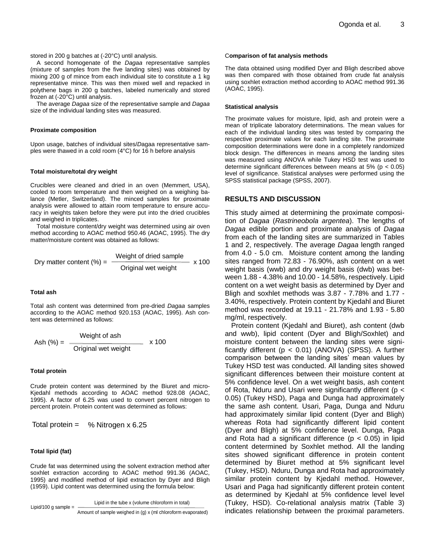stored in 200 g batches at (-20°C) until analysis.

A second homogenate of the *Dagaa* representative samples (mixture of samples from the five landing sites) was obtained by mixing 200 g of mince from each individual site to constitute a 1 kg representative mince. This was then mixed well and repacked in polythene bags in 200 g batches, labeled numerically and stored frozen at (-20°C) until analysis.

The average *Dagaa* size of the representative sample and *Dagaa* size of the individual landing sites was measured.

#### **Proximate composition**

Upon usage, batches of individual sites/*D*agaa representative samples were thawed in a cold room (4°C) for 16 h before analysis

#### **Total moisture/total dry weight**

Crucibles were cleaned and dried in an oven (Memmert, USA), cooled to room temperature and then weighed on a weighing balance (Metler, Switzerland). The minced samples for proximate analysis were allowed to attain room temperature to ensure accuracy in weights taken before they were put into the dried crucibles and weighed in triplicates.

Total moisture content/dry weight was determined using air oven method according to AOAC method 950.46 (AOAC, 1995). The dry matter/moisture content was obtained as follows:

Dry matter content (%) = 
$$
\frac{\text{Weight of dried sample}}{\text{Original wet weight}}
$$
 x 100

#### **Total ash**

Total ash content was determined from pre-dried *Dagaa* samples according to the AOAC method 920.153 (AOAC, 1995). Ash content was determined as follows:

$$
Ash (%) = \frac{Weight of ash}{Original wet weight} \times 100
$$

#### **Total protein**

Crude protein content was determined by the Biuret and micro-Kjedahl methods according to AOAC method 928.08 (AOAC, 1995). A factor of 6.25 was used to convert percent nitrogen to percent protein. Protein content was determined as follows:

Total protein = 
$$
%
$$
 Nitrogen  $x$  6.25

#### **Total lipid (fat)**

Crude fat was determined using the solvent extraction method after soxhlet extraction according to AOAC method 991.36 (AOAC, 1995) and modified method of lipid extraction by Dyer and Bligh (1959). Lipid content was determined using the formula below:

Lipid in the tube x (volume chloroform in total)

Lipid/100 g sample  $=$ 

Amount of sample weighed in (g) x (ml chloroform evaporated)

#### C**omparison of fat analysis methods**

The data obtained using modified Dyer and Bligh described above was then compared with those obtained from crude fat analysis using soxhlet extraction method according to AOAC method 991.36 (AOAC, 1995).

#### **Statistical analysis**

The proximate values for moisture, lipid, ash and protein were a mean of triplicate laboratory determinations. The mean values for each of the individual landing sites was tested by comparing the respective proximate values for each landing site. The proximate composition determinations were done in a completely randomized block design. The differences in means among the landing sites was measured using ANOVA while Tukey HSD test was used to determine significant differences between means at  $5\%$  ( $p < 0.05$ ) level of significance. Statistical analyses were performed using the SPSS statistical package (SPSS, 2007).

#### **RESULTS AND DISCUSSION**

This study aimed at determining the proximate composition of *Dagaa* (*Rastrineobola argentea*). The lengths of *Dagaa* edible portion and proximate analysis of *Dagaa* from each of the landing sites are summarized in Tables 1 and 2, respectively. The average *Dagaa* length ranged from 4.0 - 5.0 cm. Moisture content among the landing sites ranged from 72.83 - 76.90%, ash content on a wet weight basis (wwb) and dry weight basis (dwb) was between 1.88 - 4.38% and 10.00 - 14.58%, respectively. Lipid content on a wet weight basis as determined by Dyer and Bligh and soxhlet methods was 3.87 - 7.78% and 1.77 - 3.40%, respectively. Protein content by Kjedahl and Biuret method was recorded at 19.11 - 21.78% and 1.93 - 5.80 mg/ml, respectively.

Protein content (Kjedahl and Biuret), ash content (dwb and wwb), lipid content (Dyer and Bligh/Soxhlet) and moisture content between the landing sites were significantly different ( $p < 0.01$ ) (ANOVA) (SPSS). A further comparison between the landing sites' mean values by Tukey HSD test was conducted. All landing sites showed significant differences between their moisture content at 5% confidence level. On a wet weight basis, ash content of Rota, Nduru and Usari were significantly different (p < 0.05) (Tukey HSD), Paga and Dunga had approximately the same ash content. Usari, Paga, Dunga and Nduru had approximately similar lipid content (Dyer and Bligh) whereas Rota had significantly different lipid content (Dyer and Bligh) at 5% confidence level. Dunga, Paga and Rota had a significant difference ( $p < 0.05$ ) in lipid content determined by Soxhlet method. All the landing sites showed significant difference in protein content determined by Biuret method at 5% significant level (Tukey, HSD). Nduru, Dunga and Rota had approximately similar protein content by Kjedahl method. However, Usari and Paga had significantly different protein content as determined by Kjedahl at 5% confidence level level (Tukey, HSD). Co-relational analysis matrix (Table 3) indicates relationship between the proximal parameters.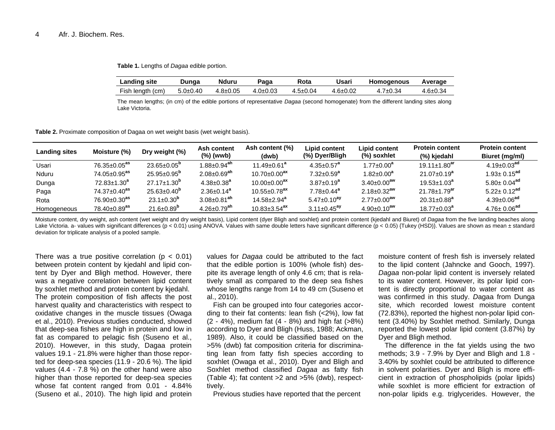**Table 1.** Lengths of *Dagaa* edible portion.

| <b>Landing site</b> | Dunga      | Nduru          | Paga           | Rota           | Usari          | <b>Homogenous</b> | Average  |
|---------------------|------------|----------------|----------------|----------------|----------------|-------------------|----------|
| Fish length (cm)    | $5.0+0.40$ | $4.8 \pm 0.05$ | $4.0 \pm 0.03$ | $4.5 \pm 0.04$ | $4.6 \pm 0.02$ | 7±0.34            | 4.6±0.34 |

The mean lengths; (in cm) of the edible portions of representative *Dagaa* (second homogenate) from the different landing sites along Lake Victoria.

**Table 2.** Proximate composition of Dagaa on wet weight basis (wet weight basis).

| <b>Landing sites</b> | Moisture (%)                   | Dry weight (%)           | Ash content<br>(%) (wwb)      | Ash content (%)<br>(dwb)       | Lipid content<br>(%) Dyer/Bligh | Lipid content<br>(%) soxhlet  | <b>Protein content</b><br>(%) kjedahl | <b>Protein content</b><br>Biuret (mg/ml) |
|----------------------|--------------------------------|--------------------------|-------------------------------|--------------------------------|---------------------------------|-------------------------------|---------------------------------------|------------------------------------------|
| Usari                | $76.35 \pm 0.05$ <sup>as</sup> | $23.65 + 0.05^{\circ}$   | $1.88 + 0.94$ <sup>ah</sup>   | $11.49 + 0.61^a$               | $4.35 + 0.57^a$                 | $1.77 \pm 0.00^a$             | $19.11 \pm 1.80$ <sup>ar</sup>        | $4.19 + 0.03^{ad}$                       |
| Nduru                | $74.05 \pm 0.95$ <sup>as</sup> | $25.95 + 0.95^{\circ}$   | $2.08 \pm 0.69$ <sup>ah</sup> | $10.70 \pm 0.00^{ax}$          | $7.32 + 0.59^a$                 | $1.82 \pm 0.00^{\mathrm{a}}$  | $21.07 + 0.19^a$                      | $1.93 + 0.15^{ad}$                       |
| Dunga                | $72.83 \pm 1.30^a$             | $27.17 + 1.30^{b}$       | $4.38 \pm 0.38^a$             | $10.00 + 0.00^{ax}$            | $3.87 + 0.19^a$                 | $3.40\pm0.00^{aw}$            | $19.53 + 1.03^a$                      | $5.80 + 0.04$ <sup>ad</sup>              |
| Paga                 | $74.37 \pm 0.40$ <sup>as</sup> | $25.63 \pm 0.40^{\circ}$ | $2.36 \pm 0.14^a$             | $10.55 \pm 0.78$ <sup>ax</sup> | $7.78 \pm 0.44$ <sup>a</sup>    | $2.18 \pm 0.32$ <sup>aw</sup> | $21.78 \pm 1.79$ <sup>ar</sup>        | $5.22 + 0.12^{ad}$                       |
| Rota                 | $76.90 \pm 0.30$ <sup>as</sup> | $23.1 \pm 0.30^{\circ}$  | $3.08 \pm 0.81$ <sup>ah</sup> | $14.58 \pm 2.94^a$             | $5.47 \pm 0.10^{ay}$            | $2.77 \pm 0.00^{aw}$          | $20.31 + 0.88^{a}$                    | $4.39 \pm 0.06$ <sup>ad</sup>            |
| Homogeneous          | $78.40 \pm 0.89$ <sup>as</sup> | $21.6 + 0.89^{\circ}$    | $4.26 + 0.79$ <sup>ah</sup>   | $10.83 + 3.54$ <sup>ax</sup>   | $3.11 + 0.45$ <sup>ay</sup>     | $4.90 + 0.10^{aw}$            | $18.77 + 0.03^a$                      | $4.76 + 0.06^{ad}$                       |

Moisture content, dry weight, ash content (wet weight and dry weight basis), Lipid content (dyer Bligh and soxhlet) and protein content (kjedahl and Biuret) of *Dagaa* from the five landing beaches along Lake Victoria. a- values with significant differences (p < 0.01) using ANOVA. Values with same double letters have significant difference (p < 0.05) {Tukey (HSD)}. Values are shown as mean ± standard deviation for triplicate analysis of a pooled sample.

There was a true positive correlation ( $p < 0.01$ ) between protein content by kjedahl and lipid content by Dyer and Bligh method. However, there was a negative correlation between lipid content by soxhlet method and protein content by kjedahl. The protein composition of fish affects the post harvest quality and characteristics with respect to oxidative changes in the muscle tissues (Owaga et al., 2010). Previous studies conducted, showed that deep-sea fishes are high in protein and low in fat as compared to pelagic fish (Suseno et al., 2010). However, in this study, Dagaa protein values 19.1 - 21.8% were higher than those reported for deep-sea species (11.9 - 20.6 %). The lipid values (4.4 - 7.8 %) on the other hand were also higher than those reported for deep-sea species whose fat content ranged from 0.01 - 4.84% (Suseno et al., 2010). The high lipid and protein

values for *Dagaa* could be attributed to the fact that the edible portion is 100% (whole fish) despite its average length of only 4.6 cm; that is relatively small as compared to the deep sea fishes whose lengths range from 14 to 49 cm (Suseno et al., 2010).

Fish can be grouped into four categories according to their fat contents: lean fish (<2%), low fat (2 - 4%), medium fat (4 - 8%) and high fat (>8%) according to Dyer and Bligh (Huss, 1988; Ackman, 1989). Also, it could be classified based on the >5% (dwb) fat composition criteria for discriminating lean from fatty fish species according to soxhlet (Owaga et al., 2010). Dyer and Bligh and Soxhlet method classified *Dagaa* as fatty fish (Table 4); fat content >2 and >5% (dwb), respecttively.

Previous studies have reported that the percent

moisture content of fresh fish is inversely related to the lipid content (Jahncke and Gooch, 1997). *Dagaa* non-polar lipid content is inversely related to its water content. However, its polar lipid content is directly proportional to water content as was confirmed in this study. *D*agaa from Dunga site, which recorded lowest moisture content (72.83%), reported the highest non-polar lipid content (3.40%) by Soxhlet method. Similarly, Dunga reported the lowest polar lipid content (3.87%) by Dyer and Bligh method.

The difference in the fat yields using the two methods; 3.9 - 7.9% by Dyer and Bligh and 1.8 - 3.40% by soxhlet could be attributed to difference in solvent polarities. Dyer and Bligh is more efficient in extraction of phospholipids (polar lipids) while soxhlet is more efficient for extraction of non-polar lipids e.g. triglycerides. However, the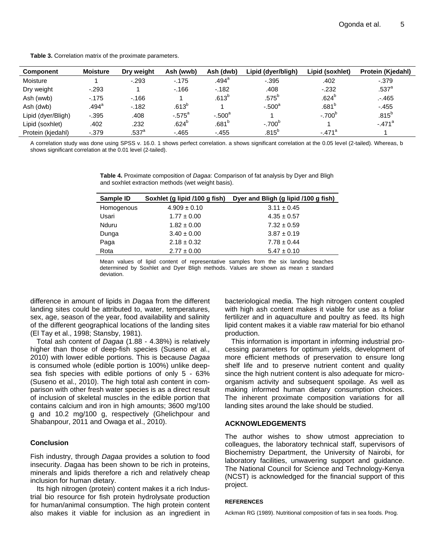**Table 3.** Correlation matrix of the proximate parameters.

| <b>Component</b>   | <b>Moisture</b> | Dry weight          | Ash (wwb)         | Ash (dwb)         | Lipid (dyer/bligh) | Lipid (soxhlet)   | Protein (Kiedahl) |
|--------------------|-----------------|---------------------|-------------------|-------------------|--------------------|-------------------|-------------------|
| Moisture           |                 | $-293$              | $-175$            | .494 <sup>a</sup> | $-0.395$           | .402              | $-0.379$          |
| Dry weight         | $-293$          |                     | $-166$            | $-182$            | .408               | $-232$            | .537 <sup>a</sup> |
| Ash (wwb)          | $-175$          | $-166$              |                   | $.613^{b}$        | $.575^b$           | .624 <sup>b</sup> | $. -465$          |
| Ash (dwb)          | .494ª           | $-182$              | .613 <sup>b</sup> |                   | $-.500a$           | .681 <sup>b</sup> | $-455$            |
| Lipid (dyer/Bligh) | $-0.395$        | .408                | $-.575^a$         | $-.500^a$         |                    | $-.700^{6}$       | $.815^{b}$        |
| Lipid (soxhlet)    | .402            | .232                | .624 <sup>b</sup> | .681 <sup>b</sup> | $-.700^\circ$      |                   | $-.471a$          |
| Protein (kjedahl)  | $-.379$         | $.537$ <sup>a</sup> | $-465$            | $-.455$           | $.815^b$           | $-.471a$          |                   |

A correlation study was done using SPSS v. 16.0. 1 shows perfect correlation. a shows significant correlation at the 0.05 level (2-tailed). Whereas, b shows significant correlation at the 0.01 level (2-tailed).

> **Table 4.** Proximate composition of *Dagaa*: Comparison of fat analysis by Dyer and Bligh and soxhlet extraction methods (wet weight basis).

| Sample ID  | Soxhlet (g lipid /100 g fish) | Dyer and Bligh (g lipid /100 g fish) |
|------------|-------------------------------|--------------------------------------|
| Homogenous | $4.909 \pm 0.10$              | $3.11 \pm 0.45$                      |
| Usari      | $1.77 \pm 0.00$               | $4.35 \pm 0.57$                      |
| Nduru      | $1.82 \pm 0.00$               | $7.32 \pm 0.59$                      |
| Dunga      | $3.40 \pm 0.00$               | $3.87 \pm 0.19$                      |
| Paga       | $2.18 \pm 0.32$               | $7.78 \pm 0.44$                      |
| Rota       | $2.77 \pm 0.00$               | $5.47 \pm 0.10$                      |

Mean values of lipid content of representative samples from the six landing beaches determined by Soxhlet and Dyer Bligh methods. Values are shown as mean  $\pm$  standard deviation.

difference in amount of lipids in *D*agaa from the different landing sites could be attributed to, water, temperatures, sex, age, season of the year, food availability and salinity of the different geographical locations of the landing sites (El Tay et al., 1998; Stansby, 1981).

Total ash content of *Dagaa* (1.88 - 4.38%) is relatively higher than those of deep-fish species (Suseno et al., 2010) with lower edible portions. This is because *Dagaa* is consumed whole (edible portion is 100%) unlike deepsea fish species with edible portions of only 5 - 63% (Suseno et al., 2010). The high total ash content in comparison with other fresh water species is as a direct result of inclusion of skeletal muscles in the edible portion that contains calcium and iron in high amounts; 3600 mg/100 g and 10.2 mg/100 g, respectively (Ghelichpour and Shabanpour, 2011 and Owaga et al., 2010).

## **Conclusion**

Fish industry, through *Dagaa* provides a solution to food insecurity. *D*agaa has been shown to be rich in proteins, minerals and lipids therefore a rich and relatively cheap inclusion for human dietary.

Its high nitrogen (protein) content makes it a rich Industrial bio resource for fish protein hydrolysate production for human/animal consumption. The high protein content also makes it viable for inclusion as an ingredient in bacteriological media. The high nitrogen content coupled with high ash content makes it viable for use as a foliar fertilizer and in aquaculture and poultry as feed. Its high lipid content makes it a viable raw material for bio ethanol production.

This information is important in informing industrial processing parameters for optimum yields, development of more efficient methods of preservation to ensure long shelf life and to preserve nutrient content and quality since the high nutrient content is also adequate for microorganism activity and subsequent spoilage. As well as making informed human dietary consumption choices. The inherent proximate composition variations for all landing sites around the lake should be studied.

## **ACKNOWLEDGEMENTS**

The author wishes to show utmost appreciation to colleagues, the laboratory technical staff, supervisors of Biochemistry Department, the University of Nairobi, for laboratory facilities, unwavering support and guidance. The National Council for Science and Technology-Kenya (NCST) is acknowledged for the financial support of this project.

#### **REFERENCES**

Ackman RG (1989). Nutritional composition of fats in sea foods. Prog.